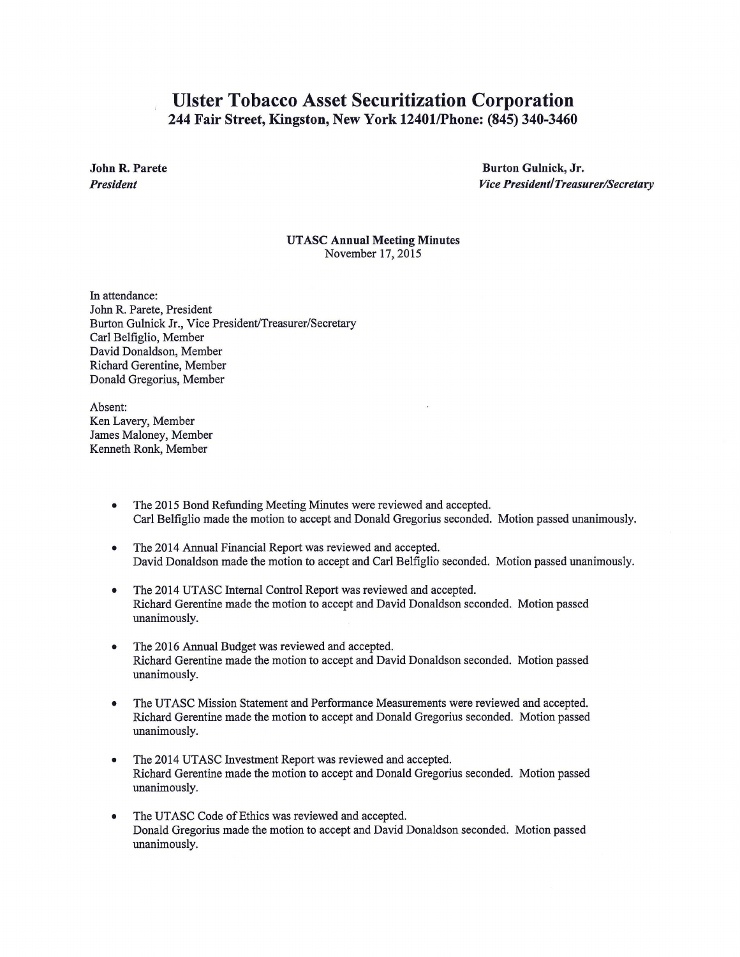## Ulster Tobacco Asset Securitization Corporation 244 Fair Street, Kingston, New York 12401/Phone: (845) 340-3460

John R. Parete *President* 

Burton Gulnick, Jr. *Vice President/Treasurer/Secretary* 

UTASC Annual Meeting Minutes November 17,2015

In attendance: John R. Parete, President Burton Gulnick Jr., Vice President/Treasurer/Secretary Carl Belfiglio, Member David Donaldson, Member Richard Gerentine, Member Donald Gregorius, Member

Absent: Ken Lavery, Member James Maloney, Member Kenneth Ronk, Member

- The 2015 Bond Refunding Meeting Minutes were reviewed and accepted. Carl Belfiglio made the motion to accept and Donald Gregorius seconded. Motion passed unanimously.
- The 2014 Annual Financial Report was reviewed and accepted. David Donaldson made the motion to accept and Carl Belfiglio seconded. Motion passed unanimously.
- The 2014 UTASC Internal Control Report was reviewed and accepted. Richard Gerentine made the motion to accept and David Donaldson seconded. Motion passed unanimously.
- The 2016 Annual Budget was reviewed and accepted. Richard Gerentine made the motion to accept and David Donaldson seconded. Motion passed unanimously.
- The UTASC Mission Statement and Performance Measurements were reviewed and accepted. Richard Gerentine made the motion to accept and Donald Gregorius seconded. Motion passed unanimously.
- The 2014 UTASC Investment Report was reviewed and accepted. Richard Gerentine made the motion to accept and Donald Gregorius seconded. Motion passed unanimously.
- The UTASC Code of Ethics was reviewed and accepted. Donald Gregorius made the motion to accept and David Donaldson seconded. Motion passed unanimously.